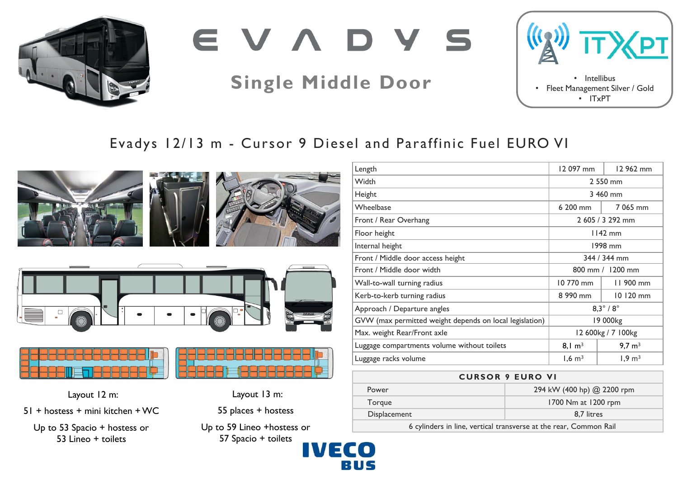

EVADYS

# **Single Middle Door**



## Evadys 12/13 m - Cursor 9 Diesel and Paraffinic Fuel EURO VI

VECO

RIIS











Layout 12 m:

51 + hostess + mini kitchen + WC

Up to 53 Spacio + hostess or 53 Lineo + toilets

Layout 13 m:

55 places + hostess

Up to 59 Lineo +hostess or 57 Spacio + toilets



### **CURSOR 9 EURO VI**

| <b>Power</b> | 294 kW (400 hp) @ 2200 rpm |
|--------------|----------------------------|
| Torgue       | 1700 Nm at 1200 rpm        |
| Displacement | 8.7 litres                 |
|              |                            |

6 cylinders in line, vertical transverse at the rear, Common Rail